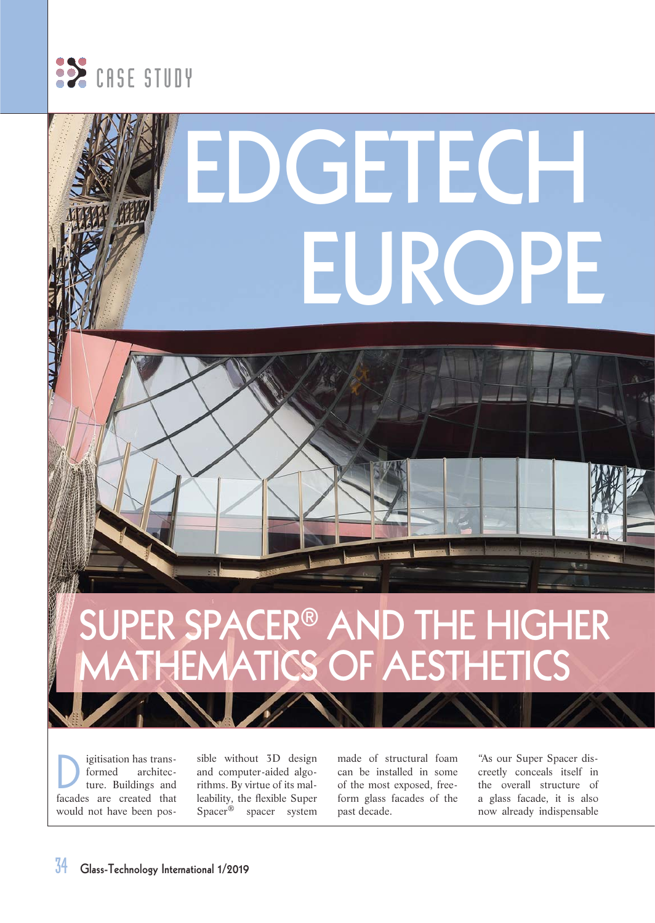

# **GETECI EUROPE**

### **SUPER SPACER® AND THE HIGHER MATHEMATICS OF AESTHETICS**

igitisation has trans-<br>formed architecarchitecture. Buildings and facades are created that would not have been possible without 3D design and computer-aided algorithms. By virtue of its malleability, the flexible Super Spacer® spacer system

made of structural foam can be installed in some of the most exposed, freeform glass facades of the past decade.

"As our Super Spacer discreetly conceals itself in the overall structure of a glass facade, it is also now already indispensable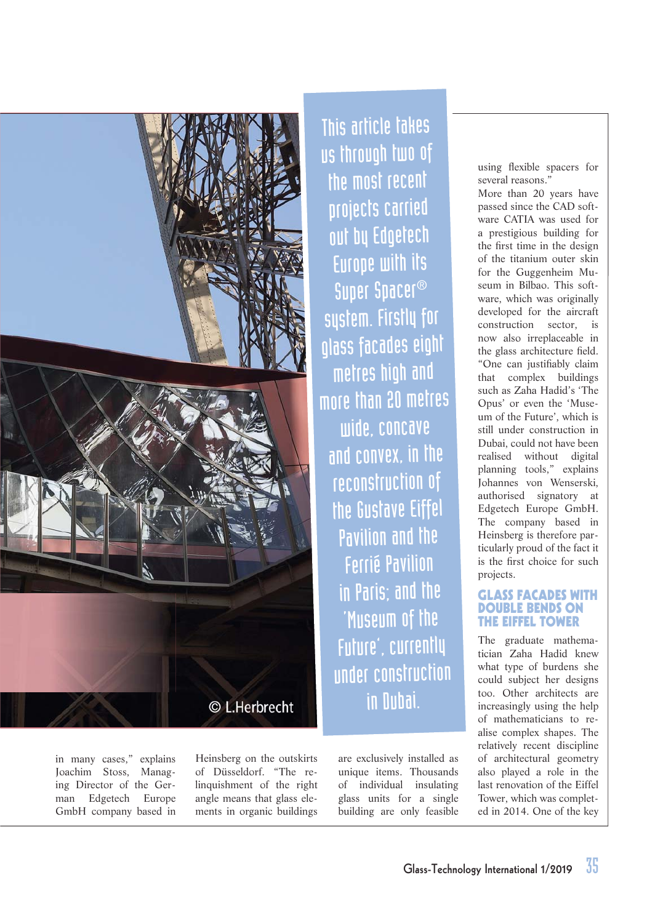

in many cases," explains Joachim Stoss, Managing Director of the German Edgetech Europe GmbH company based in Heinsberg on the outskirts of Düsseldorf. "The relinquishment of the right angle means that glass elements in organic buildings

This article takes us through two of the most recent projects carried out by Edgetech Europe with its Super Spacer® system. Firstly for glass facades eight metres high and more than 20 metres wide, concave and convex, in the reconstruction of the Gustave Eiffel Pavilion and the Ferrié Pavilion in Paris; and the 'Museum of the Future', currently under construction in Dubai.

> are exclusively installed as unique items. Thousands of individual insulating glass units for a single building are only feasible

using flexible spacers for several reasons."

More than 20 years have passed since the CAD software CATIA was used for a prestigious building for the first time in the design of the titanium outer skin for the Guggenheim Museum in Bilbao. This software, which was originally developed for the aircraft construction sector is now also irreplaceable in the glass architecture field. "One can justifiably claim that complex buildings such as Zaha Hadid's 'The Opus' or even the 'Museum of the Future', which is still under construction in Dubai, could not have been realised without digital planning tools," explains Johannes von Wenserski, authorised signatory at Edgetech Europe GmbH. The company based in Heinsberg is therefore particularly proud of the fact it is the first choice for such projects.

#### **GLASS FACADES WITH DOUBLE BENDS ON THE EIFFEL TOWER**

The graduate mathematician Zaha Hadid knew what type of burdens she could subject her designs too. Other architects are increasingly using the help of mathematicians to realise complex shapes. The relatively recent discipline of architectural geometry also played a role in the last renovation of the Eiffel Tower, which was completed in 2014. One of the key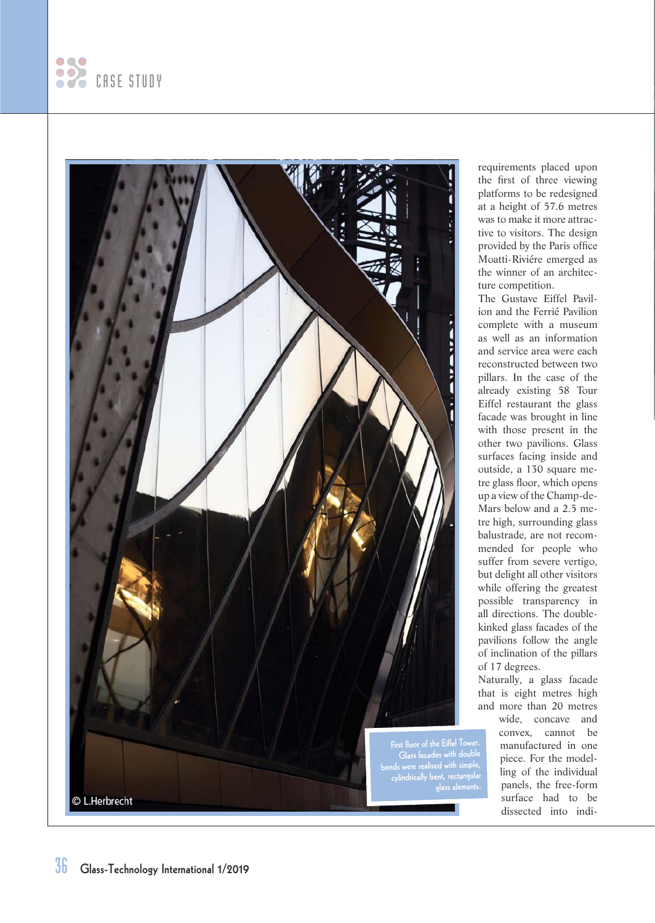



requirements placed upon the first of three viewing platforms to be redesigned at a height of 57.6 metres was to make it more attractive to visitors. The design provided by the Paris office Moatti-Riviére emerged as the winner of an architecture competition.

The Gustave Eiffel Pavilion and the Ferrié Pavilion complete with a museum as well as an information and service area were each reconstructed between two pillars. In the case of the already existing 58 Tour Eiffel restaurant the glass facade was brought in line with those present in the other two pavilions. Glass surfaces facing inside and outside, a 130 square metre glass floor, which opens up a view of the Champ-de-Mars below and a 2.5 metre high, surrounding glass balustrade, are not recommended for people who suffer from severe vertigo, but delight all other visitors while offering the greatest possible transparency in all directions. The doublekinked glass facades of the pavilions follow the angle of inclination of the pillars of 17 degrees.

Naturally, a glass facade that is eight metres high and more than 20 metres

> wide, concave and convex, cannot be manufactured in one piece. For the modelling of the individual panels, the free-form surface had to be dissected into indi-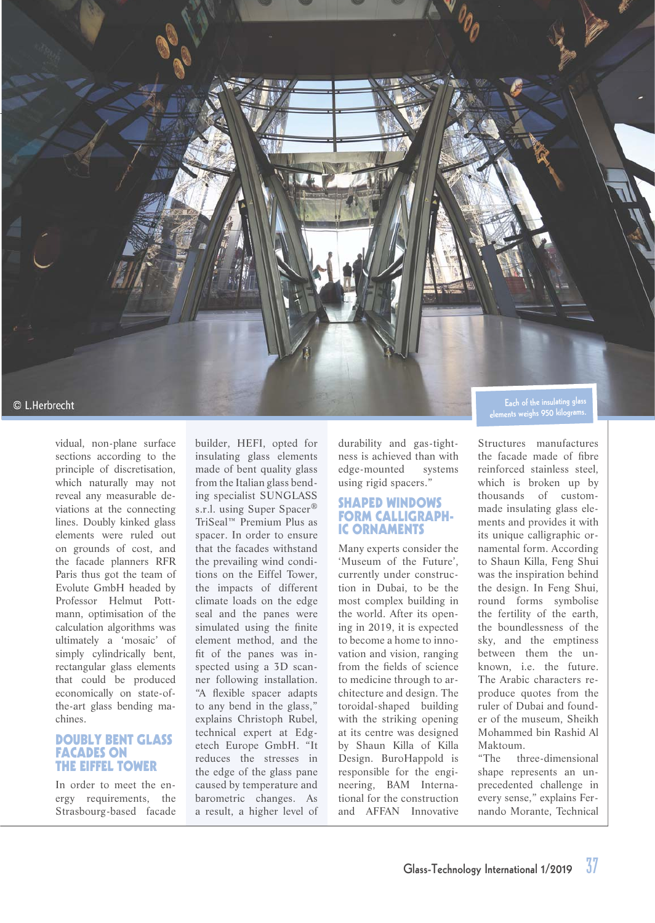

vidual, non-plane surface sections according to the principle of discretisation, which naturally may not reveal any measurable deviations at the connecting lines. Doubly kinked glass elements were ruled out on grounds of cost, and the facade planners RFR Paris thus got the team of Evolute GmbH headed by Professor Helmut Pottmann, optimisation of the calculation algorithms was ultimately a 'mosaic' of simply cylindrically bent, rectangular glass elements that could be produced economically on state-ofthe-art glass bending machines.

#### **DOUBLY BENT GLASS FACADES ON THE EIFFEL TOWER**

In order to meet the energy requirements, the Strasbourg-based facade builder, HEFI, opted for insulating glass elements made of bent quality glass from the Italian glass bending specialist SUNGLASS s.r.l. using Super Spacer® TriSeal™ Premium Plus as spacer. In order to ensure that the facades withstand the prevailing wind conditions on the Eiffel Tower, the impacts of different climate loads on the edge seal and the panes were simulated using the finite element method, and the fit of the panes was inspected using a 3D scanner following installation. "A flexible spacer adapts to any bend in the glass," explains Christoph Rubel, technical expert at Edgetech Europe GmbH. "It reduces the stresses in the edge of the glass pane caused by temperature and barometric changes. As a result, a higher level of

durability and gas-tightness is achieved than with edge-mounted systems using rigid spacers."

#### **SHAPED WINDOWS FORM CALLIGRAPH-IC ORNAMENTS**

Many experts consider the 'Museum of the Future', currently under construction in Dubai, to be the most complex building in the world. After its opening in 2019, it is expected to become a home to innovation and vision, ranging from the fields of science to medicine through to architecture and design. The toroidal-shaped building with the striking opening at its centre was designed by Shaun Killa of Killa Design. BuroHappold is responsible for the engineering, BAM International for the construction and AFFAN Innovative

**elements weighs 950 kilograms.**

Structures manufactures the facade made of fibre reinforced stainless steel, which is broken up by thousands of custommade insulating glass elements and provides it with its unique calligraphic ornamental form. According to Shaun Killa, Feng Shui was the inspiration behind the design. In Feng Shui, round forms symbolise the fertility of the earth, the boundlessness of the sky, and the emptiness between them the unknown, i.e. the future. The Arabic characters reproduce quotes from the ruler of Dubai and founder of the museum, Sheikh Mohammed bin Rashid Al Maktoum.<br>"The th

three-dimensional shape represents an unprecedented challenge in every sense," explains Fernando Morante, Technical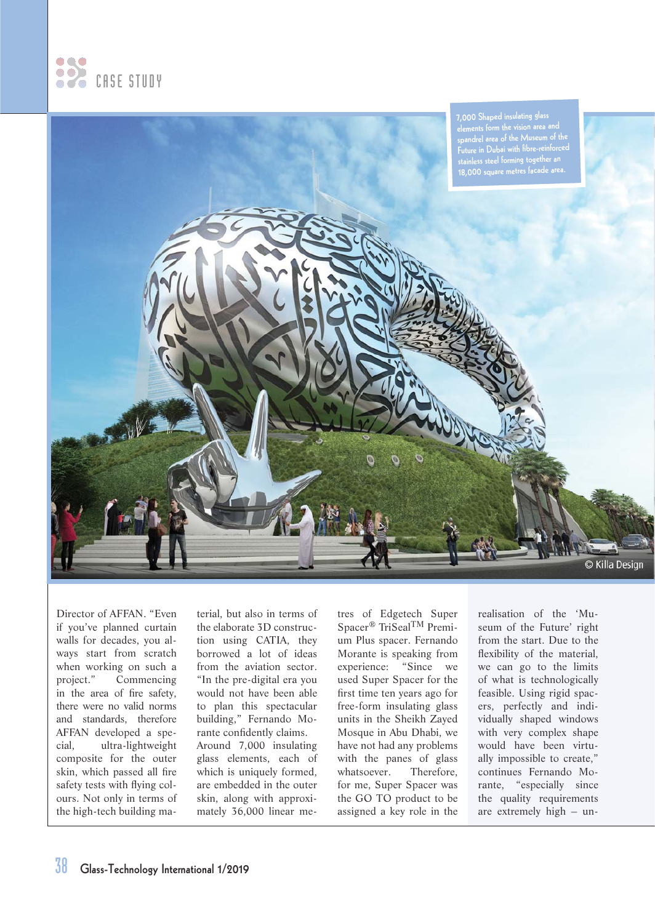



Director of AFFAN. "Even if you've planned curtain walls for decades, you always start from scratch when working on such a project." Commencing in the area of fire safety, there were no valid norms and standards, therefore AFFAN developed a special, ultra-lightweight composite for the outer skin, which passed all fire safety tests with flying colours. Not only in terms of the high-tech building material, but also in terms of the elaborate 3D construction using CATIA, they borrowed a lot of ideas from the aviation sector. "In the pre-digital era you would not have been able to plan this spectacular building," Fernando Morante confidently claims. Around 7,000 insulating glass elements, each of which is uniquely formed, are embedded in the outer skin, along with approxi-

mately 36,000 linear me-

tres of Edgetech Super Spacer® TriSealTM Premium Plus spacer. Fernando Morante is speaking from experience: "Since we used Super Spacer for the first time ten years ago for free-form insulating glass units in the Sheikh Zayed Mosque in Abu Dhabi, we have not had any problems with the panes of glass whatsoever. Therefore, for me, Super Spacer was the GO TO product to be assigned a key role in the

realisation of the 'Museum of the Future' right from the start. Due to the flexibility of the material, we can go to the limits of what is technologically feasible. Using rigid spacers, perfectly and individually shaped windows with very complex shape would have been virtually impossible to create," continues Fernando Morante, "especially since the quality requirements are extremely high – un-